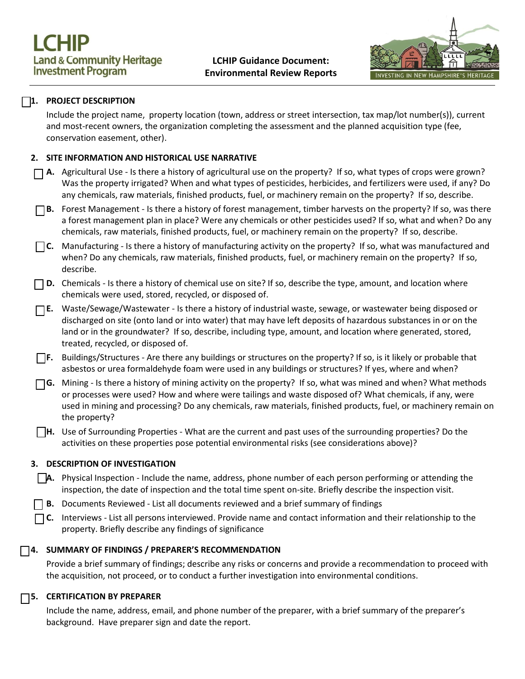

# **1. PROJECT DESCRIPTION**

Include the project name, property location (town, address or street intersection, tax map/lot number(s)), current and most-recent owners, the organization completing the assessment and the planned acquisition type (fee, conservation easement, other).

## **2. SITE INFORMATION AND HISTORICAL USE NARRATIVE**

- **A.** Agricultural Use Is there a history of agricultural use on the property? If so, what types of crops were grown? Was the property irrigated? When and what types of pesticides, herbicides, and fertilizers were used, if any? Do any chemicals, raw materials, finished products, fuel, or machinery remain on the property? If so, describe.
- **B.** Forest Management Is there a history of forest management, timber harvests on the property? If so, was there a forest management plan in place? Were any chemicals or other pesticides used? If so, what and when? Do any chemicals, raw materials, finished products, fuel, or machinery remain on the property? If so, describe.
- **C.** Manufacturing Is there a history of manufacturing activity on the property? If so, what was manufactured and when? Do any chemicals, raw materials, finished products, fuel, or machinery remain on the property? If so, describe.
- **D.** Chemicals Is there a history of chemical use on site? If so, describe the type, amount, and location where chemicals were used, stored, recycled, or disposed of.
- **E.** Waste/Sewage/Wastewater Is there a history of industrial waste, sewage, or wastewater being disposed or discharged on site (onto land or into water) that may have left deposits of hazardous substances in or on the land or in the groundwater? If so, describe, including type, amount, and location where generated, stored, treated, recycled, or disposed of.
- **F.** Buildings/Structures Are there any buildings or structures on the property? If so, is it likely or probable that asbestos or urea formaldehyde foam were used in any buildings or structures? If yes, where and when?
- **G.** Mining Is there a history of mining activity on the property? If so, what was mined and when? What methods or processes were used? How and where were tailings and waste disposed of? What chemicals, if any, were used in mining and processing? Do any chemicals, raw materials, finished products, fuel, or machinery remain on the property?
- **H.** Use of Surrounding Properties What are the current and past uses of the surrounding properties? Do the activities on these properties pose potential environmental risks (see considerations above)?

### **3. DESCRIPTION OF INVESTIGATION**

- **A.** Physical Inspection Include the name, address, phone number of each person performing or attending the inspection, the date of inspection and the total time spent on-site. Briefly describe the inspection visit.
- **B.** Documents Reviewed List all documents reviewed and a brief summary of findings
	- **C.** Interviews List all persons interviewed. Provide name and contact information and their relationship to the property. Briefly describe any findings of significance

### **4. SUMMARY OF FINDINGS / PREPARER'S RECOMMENDATION**

Provide a brief summary of findings; describe any risks or concerns and provide a recommendation to proceed with the acquisition, not proceed, or to conduct a further investigation into environmental conditions.

# **5. CERTIFICATION BY PREPARER**

Include the name, address, email, and phone number of the preparer, with a brief summary of the preparer's background. Have preparer sign and date the report.